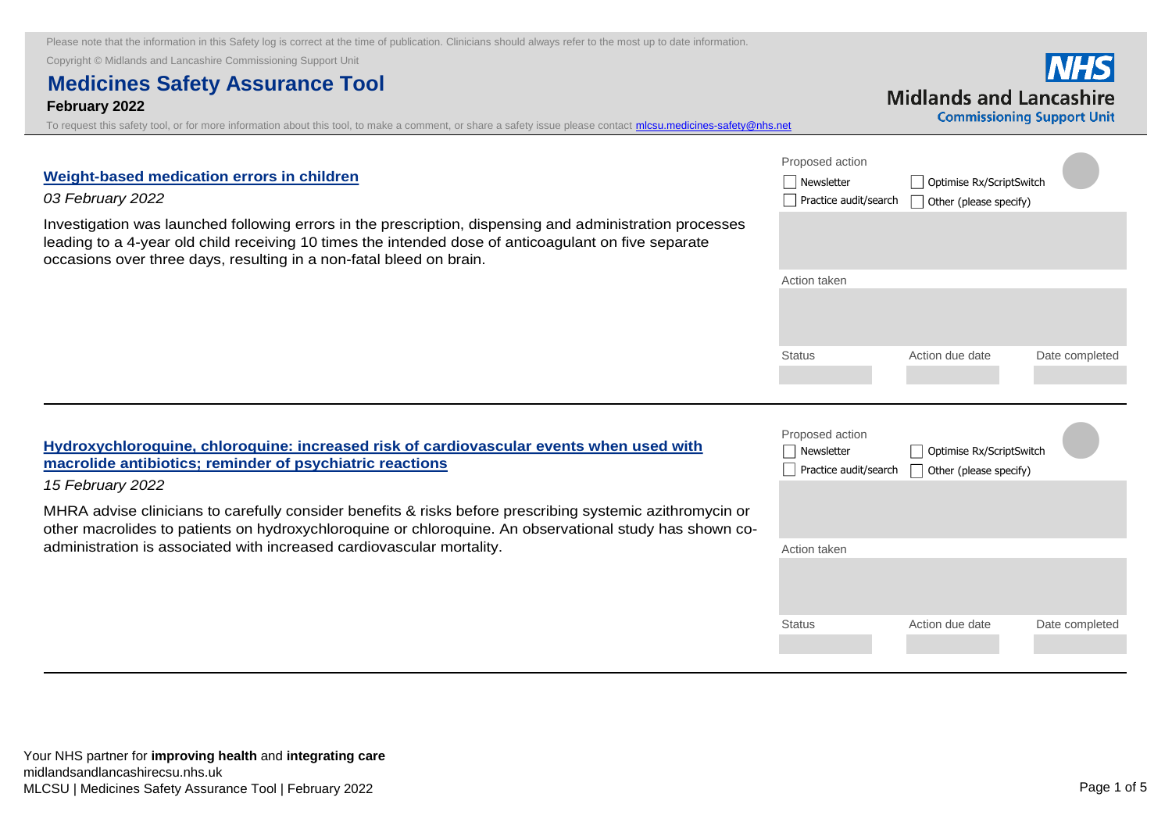[Investigation was launched following errors in the prescription, dispensing and administration processes](https://nice.us8.list-manage.com/track/click?u=7864f766b10b8edd18f19aa56&id=08dbab75b5&e=bb4189a0f3)  leading to a 4-year old child receiving 10 times the intended dose of anticoagulant on five separate

Copyright © Midlands and Lancashire Commissioning Support Unit

**Weight-based medication errors in children** 

occasions over three days, resulting in a non-fatal bleed on brain.

# **Medicines Safety Assurance Tool**

**February 2022**

*03 February 2022*

To request this safety tool, or for more information about this tool, to make a comment, or share a safety issue please contact *mlcsu.medicines-safety@nhs.net* 

| Proposed action<br>Newsletter<br>Practice audit/search | Optimise Rx/ScriptSwitch<br>Other (please specify) |                |
|--------------------------------------------------------|----------------------------------------------------|----------------|
|                                                        |                                                    |                |
| Action taken                                           |                                                    |                |
|                                                        |                                                    |                |
| <b>Status</b>                                          | Action due date                                    | Date completed |

**Hydroxychloroquine, chloroquine: increased risk of cardiovascular events when used with macrolide antibiotics; reminder of psychiatric reactions**

#### *15 February 2022*

MHRA advise clinicians to carefully consider benefits & risks before prescribing systemic azithromycin or [other macrolides to patients on hydroxychloroquine or chloroquine. An observational study has shown co](https://lnks.gd/l/eyJhbGciOiJIUzI1NiJ9.eyJidWxsZXRpbl9saW5rX2lkIjoxMDIsInVyaSI6ImJwMjpjbGljayIsImJ1bGxldGluX2lkIjoiMjAyMjAyMTUuNTM0MzQwNDEiLCJ1cmwiOiJodHRwczovL3d3dy5nb3YudWsvZHJ1Zy1zYWZldHktdXBkYXRlL2h5ZHJveHljaGxvcm9xdWluZS1jaGxvcm9xdWluZS1pbmNyZWFzZWQtcmlzay1vZi1jYXJkaW92YXNjdWxhci1ldmVudHMtd2hlbi11c2VkLXdpdGgtbWFjcm9saWRlLWFudGliaW90aWNzLXJlbWluZGVyLW9mLXBzeWNoaWF0cmljLXJlYWN0aW9ucz9jYWNoZWJ1c3Q9MTY0NDkzNDI0MSJ9.sCy4V7O5VgFKIv09mQlGJYaZLgunnXQGTq4mhv8TOOU/s/787027135/br/126628138510-l)administration is associated with increased cardiovascular mortality.

| Proposed action<br>Newsletter<br>Practice audit/search | Optimise Rx/ScriptSwitch<br>Other (please specify) |                |
|--------------------------------------------------------|----------------------------------------------------|----------------|
|                                                        |                                                    |                |
| Action taken                                           |                                                    |                |
| <b>Status</b>                                          | Action due date                                    | Date completed |

**Midlands and Lancashire Commissioning Support Unit**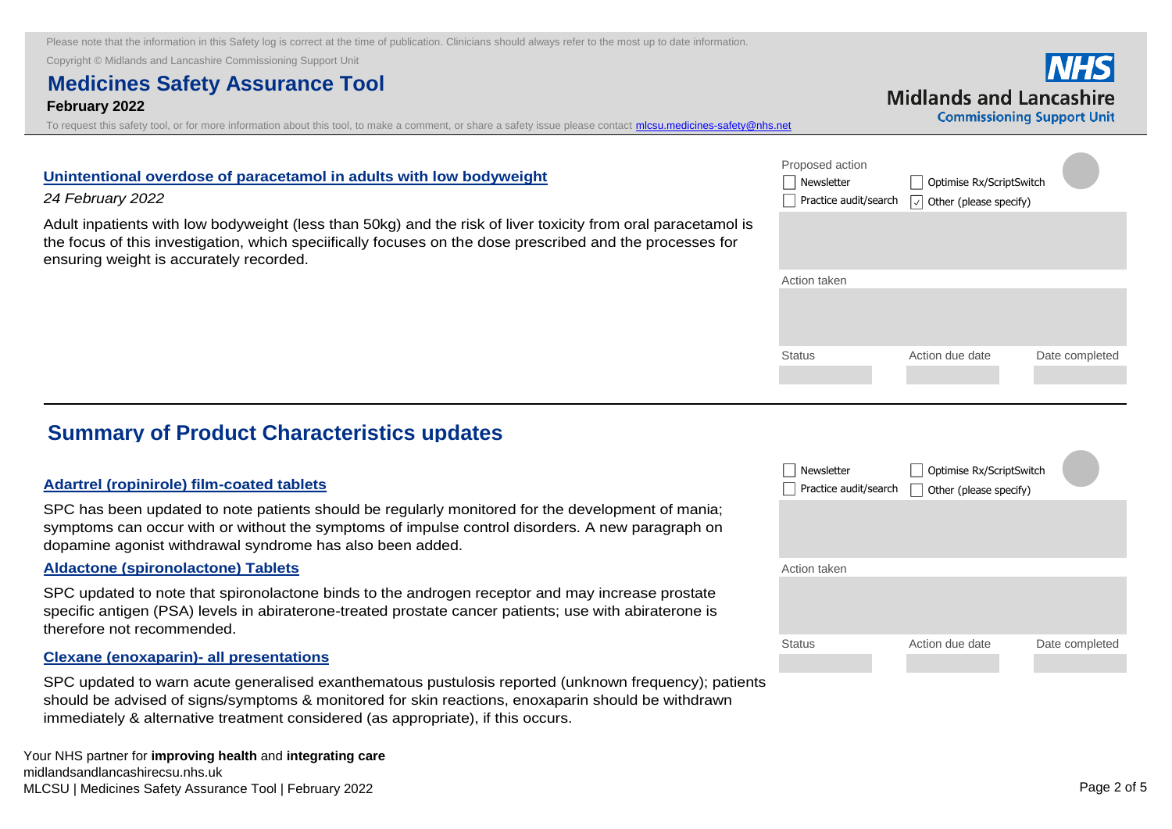Copyright © Midlands and Lancashire Commissioning Support Unit

### **Medicines Safety Assurance Tool February 2022**

[To request this safety tool, or for more information about this tool, to make a comment, or share a safety issue please contact mlcsu.medicines-safety@nhs.net](mailto:mlcsu.medicines-safety@nhs.net)

| Proposed action<br>Newsletter<br>Practice audit/search | Optimise Rx/ScriptSwitch<br>$ \vee $ Other (please specify) |                |
|--------------------------------------------------------|-------------------------------------------------------------|----------------|
|                                                        |                                                             |                |
| Action taken                                           |                                                             |                |
|                                                        |                                                             |                |
| <b>Status</b>                                          | Action due date                                             | Date completed |

#### **Unintentional overdose of paracetamol in adults with low bodyweight**

#### *24 February 2022*

[Adult inpatients with low bodyweight \(less than 50kg\) and the risk of liver toxicity from oral paracetamol is](https://nice.us8.list-manage.com/track/click?u=7864f766b10b8edd18f19aa56&id=2e3377885e&e=bb4189a0f3)  the focus of this investigation, which speciifically focuses on the dose prescribed and the processes for ensuring weight is accurately recorded.

### **Summary of Product Characteristics updates**

#### **Adartrel (ropinirole) film-coated tablets**

[SPC has been updated to note patients should be regularly monitored for the development of mania;](https://nice.us8.list-manage.com/track/click?u=7864f766b10b8edd18f19aa56&id=78c32ad56d&e=bb4189a0f3)  symptoms can occur with or without the symptoms of impulse control disorders. A new paragraph on dopamine agonist withdrawal syndrome has also been added.

#### **Aldactone (spironolactone) Tablets**

SPC updated to note that spironolactone binds to the androgen receptor and may increase prostate [specific antigen \(PSA\) levels in abiraterone-treated prostate cancer patients; use with abiraterone is](https://nice.us8.list-manage.com/track/click?u=7864f766b10b8edd18f19aa56&id=14ecb82765&e=bb4189a0f3)  therefore not recommended.

#### **Clexane (enoxaparin)- all presentations**

[SPC updated to warn acute generalised exanthematous pustulosis reported \(unknown frequency\); patients](https://nice.us8.list-manage.com/track/click?u=7864f766b10b8edd18f19aa56&id=841556d2fb&e=bb4189a0f3)  should be advised of signs/symptoms & monitored for skin reactions, enoxaparin should be withdrawn immediately & alternative treatment considered (as appropriate), if this occurs.

| Newsletter<br>Practice audit/search | Optimise Rx/ScriptSwitch<br>Other (please specify) |                |
|-------------------------------------|----------------------------------------------------|----------------|
| Action taken                        |                                                    |                |
|                                     |                                                    |                |
| <b>Status</b>                       | Action due date                                    | Date completed |

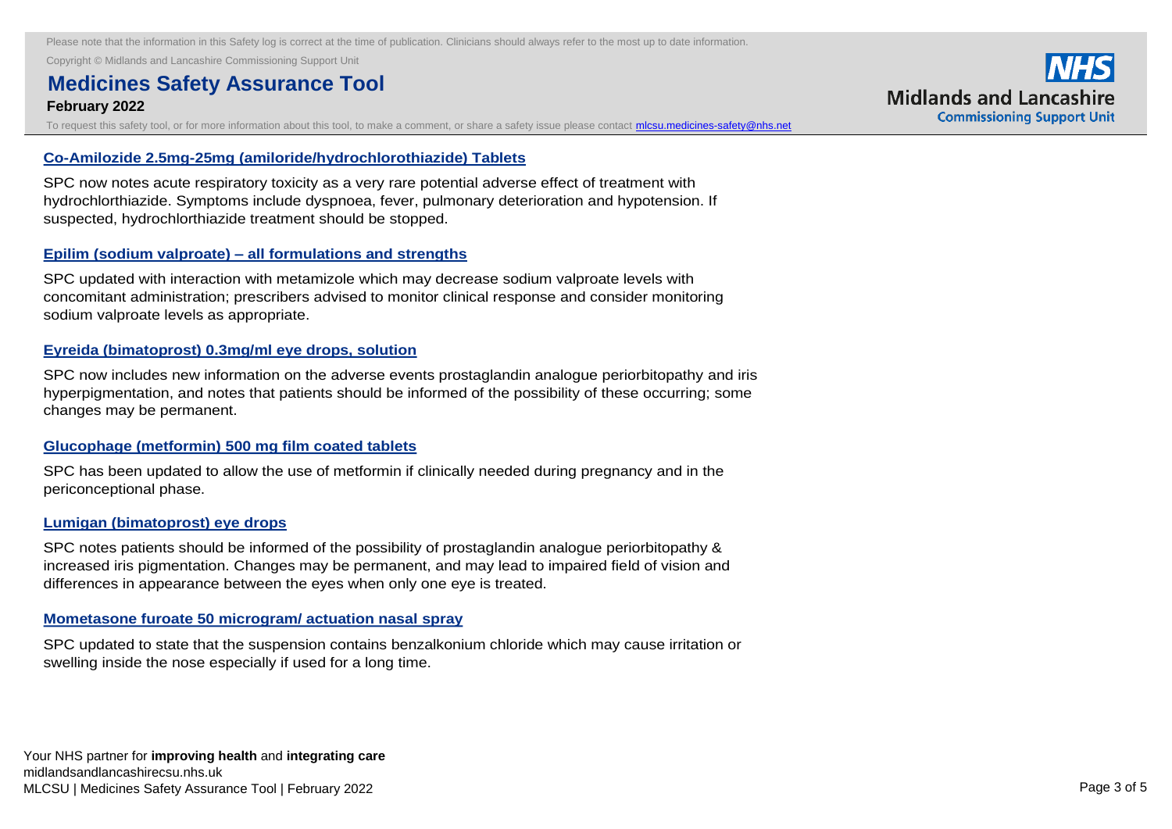Copyright © Midlands and Lancashire Commissioning Support Unit **Clexane (enoxaparin)- all presentations** 

## **Medicines Safety Assurance Tool acute generalised example of the contract of the contract of the contract of the contract of the contract of the contract of the contract of the contract of the contract of the contract of**

#### **February 2022** showled be advised of signs/symptoms  $\mathcal{L}(\mathcal{L})$  and signs/symptoms  $\mathcal{L}(\mathcal{L})$  and  $\mathcal{L}(\mathcal{L})$

To request this safety tool, or for more information about this tool, to make a comment, or share a safety issue please contact **micsu.medicines-safety@nhs.net** 

#### **Co-Amilozide 2.5mg-25mg (amiloride/hydrochlorothiazide) Tablets**

SPC now notes acute respiratory toxicity as a very rare potential adverse effect of treatment with [hydrochlorthiazide. Symptoms include dyspnoea, fever, pulmonary deterioration and hypotension. If](https://nice.us8.list-manage.com/track/click?u=7864f766b10b8edd18f19aa56&id=775610a95e&e=bb4189a0f3)  suspected, hydrochlorthiazide treatment should be stopped.

#### **Epilim (sodium valproate) – all formulations and strengths**

SPC updated with interaction with metamizole which may decrease sodium valproate levels with [concomitant administration; prescribers advised to monitor clinical response and consider monitoring](https://nice.us8.list-manage.com/track/click?u=7864f766b10b8edd18f19aa56&id=6056ade0fe&e=bb4189a0f3)  sodium valproate levels as appropriate.

#### **Eyreida (bimatoprost) 0.3mg/ml eye drops, solution**

SPC now includes new information on the adverse events prostaglandin analogue periorbitopathy and iris [hyperpigmentation, and notes that patients should be informed of the possibility of these occurring; some](https://nice.us8.list-manage.com/track/click?u=7864f766b10b8edd18f19aa56&id=40f34466eb&e=bb4189a0f3)  changes may be permanent.

#### **Glucophage (metformin) 500 mg film coated tablets**

[SPC has been updated to allow the use of metformin if clinically needed during pregnancy and in the](https://nice.us8.list-manage.com/track/click?u=7864f766b10b8edd18f19aa56&id=e3f14053c1&e=bb4189a0f3)  periconceptional phase.

#### **Lumigan (bimatoprost) eye drops**

SPC notes patients should be informed of the possibility of prostaglandin analogue periorbitopathy & [increased iris pigmentation. Changes may be permanent, and may lead to impaired field of vision and](https://nice.us8.list-manage.com/track/click?u=7864f766b10b8edd18f19aa56&id=c85d40bb95&e=bb4189a0f3)  differences in appearance between the eyes when only one eye is treated.

#### **Mometasone furoate 50 microgram/ actuation nasal spray**

[SPC updated to state that the suspension contains benzalkonium chloride which may cause irritation or](https://nice.us8.list-manage.com/track/click?u=7864f766b10b8edd18f19aa56&id=3d3f0759ae&e=bb4189a0f3)  swelling inside the nose especially if used for a long time.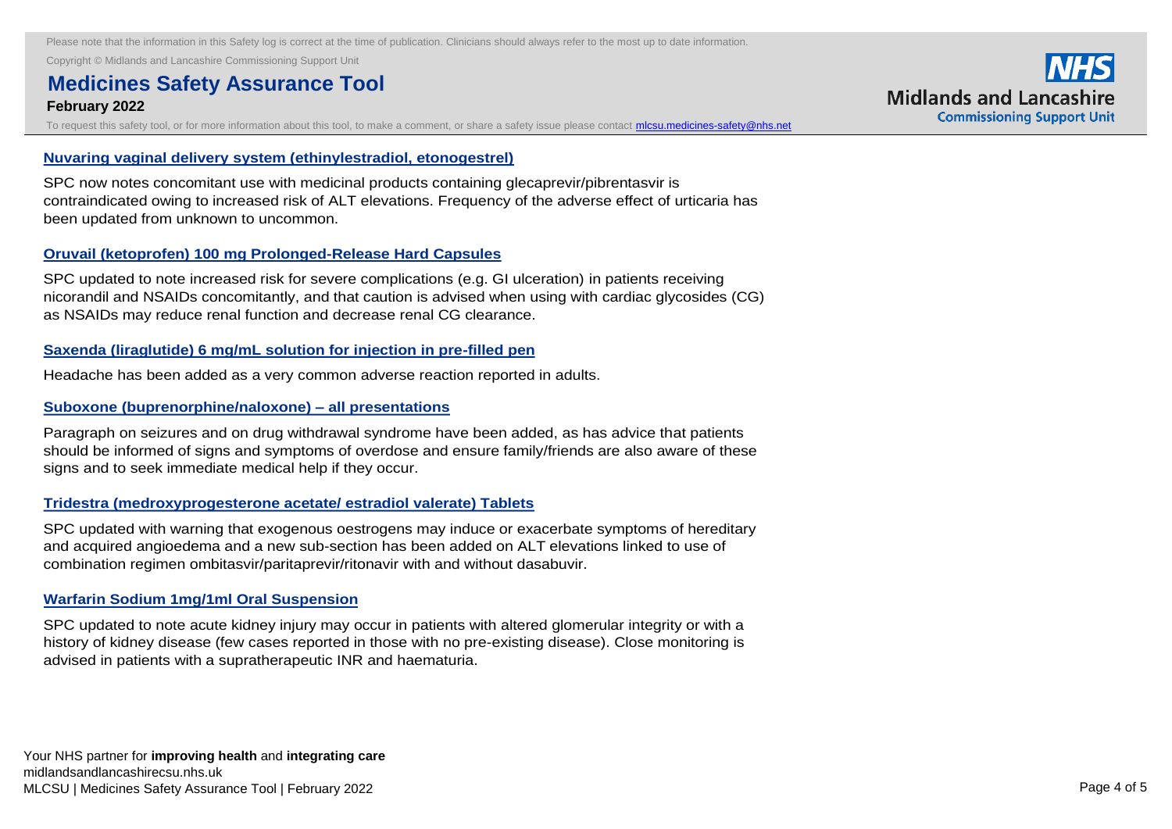Copyright © Midlands and Lancashire Commissioning Support Unit

## **Medicines Safety Assurance Tool**

#### **February 2022** SPC updated to state that the suspension contains benzalkonium chloride which may cause it is a suspension contains benzalkonium chloride which may cause it is a suspension of the suspension of the suspensi

To request this safety tool, or for more information about this tool, to make a comment, or share a safety issue please contact *micsu.medicines-safety@nhs.net* 

#### **Nuvaring vaginal delivery system (ethinylestradiol, etonogestrel)**

SPC now notes concomitant use with medicinal products containing glecaprevir/pibrentasvir is [contraindicated owing to increased risk of ALT elevations. Frequency of the adverse effect of urticaria has](https://nice.us8.list-manage.com/track/click?u=7864f766b10b8edd18f19aa56&id=e7ee2d7569&e=bb4189a0f3)  been updated from unknown to uncommon.

#### **Oruvail (ketoprofen) 100 mg Prolonged-Release Hard Capsules**

SPC updated to note increased risk for severe complications (e.g. GI ulceration) in patients receiving [nicorandil and NSAIDs concomitantly, and that caution is advised when using with cardiac glycosides \(CG\)](https://nice.us8.list-manage.com/track/click?u=7864f766b10b8edd18f19aa56&id=606fa1609b&e=bb4189a0f3)  as NSAIDs may reduce renal function and decrease renal CG clearance.

#### **Saxenda (liraglutide) 6 mg/mL solution for injection in pre-filled pen**

[Headache has been added as a very common adverse reaction reported in adults.](https://nice.us8.list-manage.com/track/click?u=7864f766b10b8edd18f19aa56&id=f77445f947&e=bb4189a0f3) 

#### **Suboxone (buprenorphine/naloxone) – all presentations**

Paragraph on seizures and on drug withdrawal syndrome have been added, as has advice that patients [should be informed of signs and symptoms of overdose and ensure family/friends are also aware of these](https://nice.us8.list-manage.com/track/click?u=7864f766b10b8edd18f19aa56&id=ba7d29f6c0&e=bb4189a0f3)  signs and to seek immediate medical help if they occur.

#### **Tridestra (medroxyprogesterone acetate/ estradiol valerate) Tablets**

SPC updated with warning that exogenous oestrogens may induce or exacerbate symptoms of hereditary and acquired angioedema and a new sub-section has been added on ALT elevations linked to use of combination regimen ombitasvir/paritaprevir/ritonavir with and without dasabuvir.

#### **Warfarin Sodium 1mg/1ml Oral Suspension**

SPC updated to note acute kidney injury may occur in patients with altered glomerular integrity or with a [history of kidney disease \(few cases reported in those with no pre-existing disease\). Close monitoring is](https://nice.us8.list-manage.com/track/click?u=7864f766b10b8edd18f19aa56&id=0cc54d89e4&e=bb4189a0f3)  advised in patients with a supratherapeutic INR and haematuria.